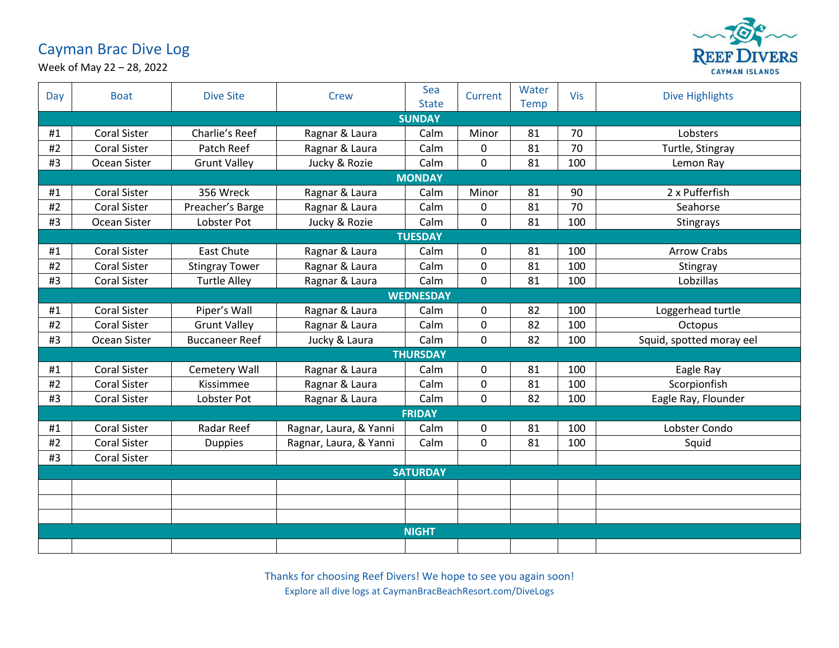## Cayman Brac Dive Log



Week of May 22 – 28, 2022

| Day | <b>Boat</b>         | <b>Dive Site</b>      | Crew                   | Sea<br><b>State</b> | Current      | Water<br><b>Temp</b> | Vis | <b>Dive Highlights</b>   |  |  |
|-----|---------------------|-----------------------|------------------------|---------------------|--------------|----------------------|-----|--------------------------|--|--|
|     | <b>SUNDAY</b>       |                       |                        |                     |              |                      |     |                          |  |  |
| #1  | <b>Coral Sister</b> | Charlie's Reef        | Ragnar & Laura         | Calm                | Minor        | 81                   | 70  | Lobsters                 |  |  |
| #2  | <b>Coral Sister</b> | Patch Reef            | Ragnar & Laura         | Calm                | $\Omega$     | 81                   | 70  | Turtle, Stingray         |  |  |
| #3  | Ocean Sister        | <b>Grunt Valley</b>   | Jucky & Rozie          | Calm                | $\mathbf 0$  | 81                   | 100 | Lemon Ray                |  |  |
|     | <b>MONDAY</b>       |                       |                        |                     |              |                      |     |                          |  |  |
| #1  | <b>Coral Sister</b> | 356 Wreck             | Ragnar & Laura         | Calm                | Minor        | 81                   | 90  | 2 x Pufferfish           |  |  |
| #2  | <b>Coral Sister</b> | Preacher's Barge      | Ragnar & Laura         | Calm                | $\mathbf{0}$ | 81                   | 70  | Seahorse                 |  |  |
| #3  | Ocean Sister        | Lobster Pot           | Jucky & Rozie          | Calm                | 0            | 81                   | 100 | Stingrays                |  |  |
|     | <b>TUESDAY</b>      |                       |                        |                     |              |                      |     |                          |  |  |
| #1  | <b>Coral Sister</b> | <b>East Chute</b>     | Ragnar & Laura         | Calm                | 0            | 81                   | 100 | <b>Arrow Crabs</b>       |  |  |
| #2  | <b>Coral Sister</b> | <b>Stingray Tower</b> | Ragnar & Laura         | Calm                | $\Omega$     | 81                   | 100 | Stingray                 |  |  |
| #3  | <b>Coral Sister</b> | <b>Turtle Alley</b>   | Ragnar & Laura         | Calm                | 0            | 81                   | 100 | Lobzillas                |  |  |
|     | <b>WEDNESDAY</b>    |                       |                        |                     |              |                      |     |                          |  |  |
| #1  | <b>Coral Sister</b> | Piper's Wall          | Ragnar & Laura         | Calm                | 0            | 82                   | 100 | Loggerhead turtle        |  |  |
| #2  | <b>Coral Sister</b> | <b>Grunt Valley</b>   | Ragnar & Laura         | Calm                | 0            | 82                   | 100 | Octopus                  |  |  |
| #3  | Ocean Sister        | <b>Buccaneer Reef</b> | Jucky & Laura          | Calm                | $\Omega$     | 82                   | 100 | Squid, spotted moray eel |  |  |
|     |                     |                       |                        | <b>THURSDAY</b>     |              |                      |     |                          |  |  |
| #1  | <b>Coral Sister</b> | Cemetery Wall         | Ragnar & Laura         | Calm                | $\mathbf{0}$ | 81                   | 100 | Eagle Ray                |  |  |
| #2  | <b>Coral Sister</b> | Kissimmee             | Ragnar & Laura         | Calm                | 0            | 81                   | 100 | Scorpionfish             |  |  |
| #3  | <b>Coral Sister</b> | Lobster Pot           | Ragnar & Laura         | Calm                | 0            | 82                   | 100 | Eagle Ray, Flounder      |  |  |
|     | <b>FRIDAY</b>       |                       |                        |                     |              |                      |     |                          |  |  |
| #1  | <b>Coral Sister</b> | Radar Reef            | Ragnar, Laura, & Yanni | Calm                | 0            | 81                   | 100 | Lobster Condo            |  |  |
| #2  | <b>Coral Sister</b> | <b>Duppies</b>        | Ragnar, Laura, & Yanni | Calm                | 0            | 81                   | 100 | Squid                    |  |  |
| #3  | <b>Coral Sister</b> |                       |                        |                     |              |                      |     |                          |  |  |
|     | <b>SATURDAY</b>     |                       |                        |                     |              |                      |     |                          |  |  |
|     |                     |                       |                        |                     |              |                      |     |                          |  |  |
|     |                     |                       |                        |                     |              |                      |     |                          |  |  |
|     |                     |                       |                        |                     |              |                      |     |                          |  |  |
|     | <b>NIGHT</b>        |                       |                        |                     |              |                      |     |                          |  |  |
|     |                     |                       |                        |                     |              |                      |     |                          |  |  |

Thanks for choosing Reef Divers! We hope to see you again soon! Explore all dive logs at CaymanBracBeachResort.com/DiveLogs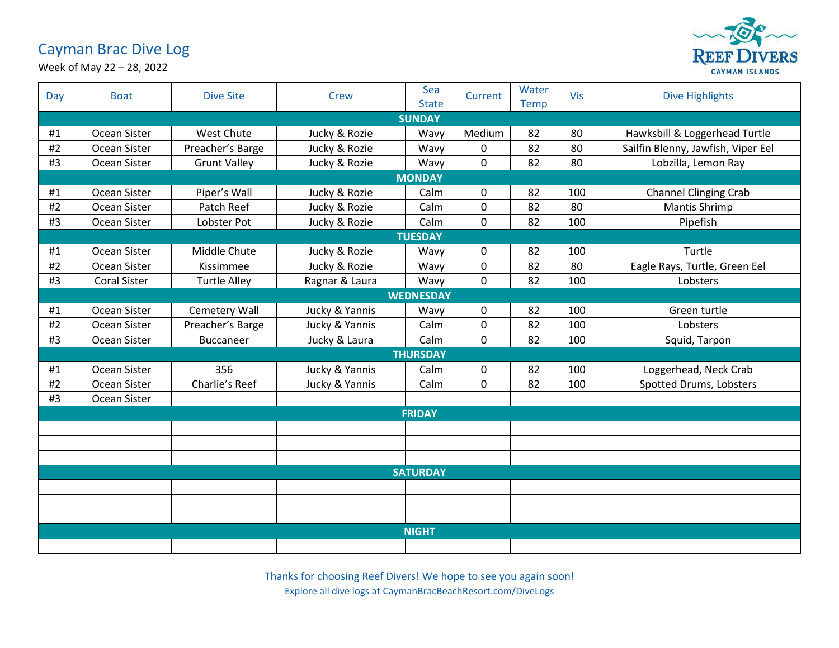## Cayman Brac Dive Log



Week of May 22 – 28, 2022

| Day             | <b>Boat</b>         | <b>Dive Site</b>    | <b>Crew</b>    | Sea<br><b>State</b> | Current     | Water<br><b>Temp</b> | Vis | <b>Dive Highlights</b>             |  |  |
|-----------------|---------------------|---------------------|----------------|---------------------|-------------|----------------------|-----|------------------------------------|--|--|
| <b>SUNDAY</b>   |                     |                     |                |                     |             |                      |     |                                    |  |  |
| #1              | Ocean Sister        | West Chute          | Jucky & Rozie  | Wavy                | Medium      | 82                   | 80  | Hawksbill & Loggerhead Turtle      |  |  |
| #2              | Ocean Sister        | Preacher's Barge    | Jucky & Rozie  | Wavy                | 0           | 82                   | 80  | Sailfin Blenny, Jawfish, Viper Eel |  |  |
| #3              | Ocean Sister        | <b>Grunt Valley</b> | Jucky & Rozie  | Wavy                | $\mathbf 0$ | 82                   | 80  | Lobzilla, Lemon Ray                |  |  |
|                 | <b>MONDAY</b>       |                     |                |                     |             |                      |     |                                    |  |  |
| #1              | Ocean Sister        | Piper's Wall        | Jucky & Rozie  | Calm                | 0           | 82                   | 100 | <b>Channel Clinging Crab</b>       |  |  |
| #2              | Ocean Sister        | Patch Reef          | Jucky & Rozie  | Calm                | $\mathbf 0$ | 82                   | 80  | <b>Mantis Shrimp</b>               |  |  |
| #3              | Ocean Sister        | Lobster Pot         | Jucky & Rozie  | Calm                | 0           | 82                   | 100 | Pipefish                           |  |  |
|                 | <b>TUESDAY</b>      |                     |                |                     |             |                      |     |                                    |  |  |
| #1              | Ocean Sister        | Middle Chute        | Jucky & Rozie  | Wavy                | 0           | 82                   | 100 | Turtle                             |  |  |
| #2              | Ocean Sister        | Kissimmee           | Jucky & Rozie  | Wavy                | 0           | 82                   | 80  | Eagle Rays, Turtle, Green Eel      |  |  |
| #3              | <b>Coral Sister</b> | <b>Turtle Alley</b> | Ragnar & Laura | Wavy                | $\mathbf 0$ | 82                   | 100 | Lobsters                           |  |  |
|                 |                     |                     |                | <b>WEDNESDAY</b>    |             |                      |     |                                    |  |  |
| #1              | Ocean Sister        | Cemetery Wall       | Jucky & Yannis | Wavy                | 0           | 82                   | 100 | Green turtle                       |  |  |
| #2              | Ocean Sister        | Preacher's Barge    | Jucky & Yannis | Calm                | $\mathbf 0$ | 82                   | 100 | Lobsters                           |  |  |
| #3              | Ocean Sister        | Buccaneer           | Jucky & Laura  | Calm                | 0           | 82                   | 100 | Squid, Tarpon                      |  |  |
|                 |                     |                     |                | <b>THURSDAY</b>     |             |                      |     |                                    |  |  |
| #1              | Ocean Sister        | 356                 | Jucky & Yannis | Calm                | 0           | 82                   | 100 | Loggerhead, Neck Crab              |  |  |
| #2              | Ocean Sister        | Charlie's Reef      | Jucky & Yannis | Calm                | 0           | 82                   | 100 | Spotted Drums, Lobsters            |  |  |
| #3              | Ocean Sister        |                     |                |                     |             |                      |     |                                    |  |  |
| <b>FRIDAY</b>   |                     |                     |                |                     |             |                      |     |                                    |  |  |
|                 |                     |                     |                |                     |             |                      |     |                                    |  |  |
|                 |                     |                     |                |                     |             |                      |     |                                    |  |  |
|                 |                     |                     |                |                     |             |                      |     |                                    |  |  |
| <b>SATURDAY</b> |                     |                     |                |                     |             |                      |     |                                    |  |  |
|                 |                     |                     |                |                     |             |                      |     |                                    |  |  |
|                 |                     |                     |                |                     |             |                      |     |                                    |  |  |
|                 |                     |                     |                |                     |             |                      |     |                                    |  |  |
|                 | <b>NIGHT</b>        |                     |                |                     |             |                      |     |                                    |  |  |
|                 |                     |                     |                |                     |             |                      |     |                                    |  |  |

Thanks for choosing Reef Divers! We hope to see you again soon! Explore all dive logs at CaymanBracBeachResort.com/DiveLogs